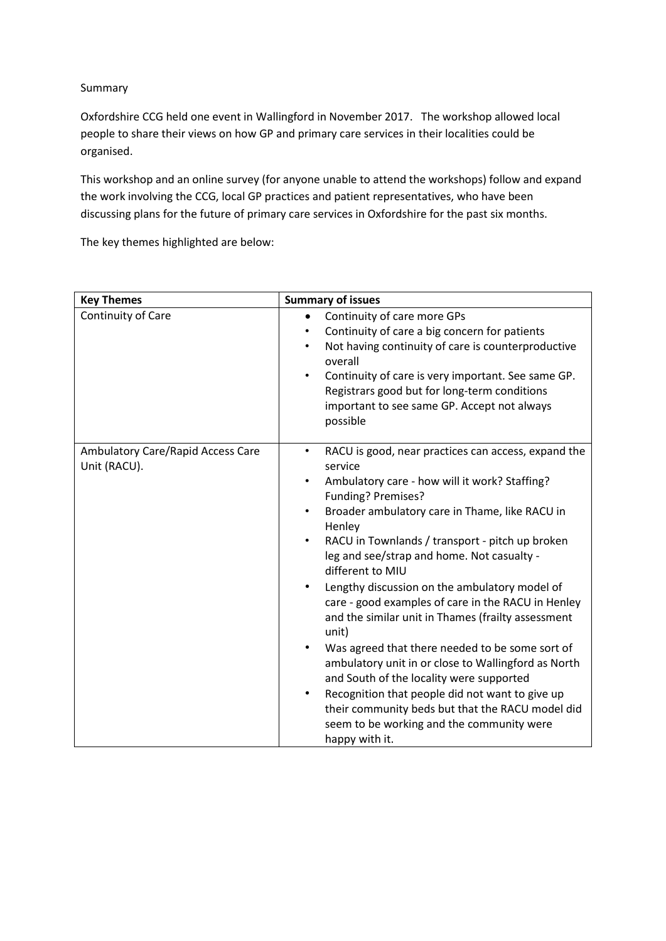Summary

Oxfordshire CCG held one event in Wallingford in November 2017. The workshop allowed local people to share their views on how GP and primary care services in their localities could be organised.

This workshop and an online survey (for anyone unable to attend the workshops) follow and expand the work involving the CCG, local GP practices and patient representatives, who have been discussing plans for the future of primary care services in Oxfordshire for the past six months.

The key themes highlighted are below:

| <b>Key Themes</b>                                 | <b>Summary of issues</b>                                                                                                                                                                                                                                                                                                                                                                                                                                                                                                                                                                                                                                                                                                                                                                                                                     |  |  |
|---------------------------------------------------|----------------------------------------------------------------------------------------------------------------------------------------------------------------------------------------------------------------------------------------------------------------------------------------------------------------------------------------------------------------------------------------------------------------------------------------------------------------------------------------------------------------------------------------------------------------------------------------------------------------------------------------------------------------------------------------------------------------------------------------------------------------------------------------------------------------------------------------------|--|--|
| Continuity of Care                                | Continuity of care more GPs<br>Continuity of care a big concern for patients<br>Not having continuity of care is counterproductive<br>overall<br>Continuity of care is very important. See same GP.<br>Registrars good but for long-term conditions<br>important to see same GP. Accept not always<br>possible                                                                                                                                                                                                                                                                                                                                                                                                                                                                                                                               |  |  |
| Ambulatory Care/Rapid Access Care<br>Unit (RACU). | RACU is good, near practices can access, expand the<br>٠<br>service<br>Ambulatory care - how will it work? Staffing?<br>٠<br>Funding? Premises?<br>Broader ambulatory care in Thame, like RACU in<br>Henley<br>RACU in Townlands / transport - pitch up broken<br>leg and see/strap and home. Not casualty -<br>different to MIU<br>Lengthy discussion on the ambulatory model of<br>٠<br>care - good examples of care in the RACU in Henley<br>and the similar unit in Thames (frailty assessment<br>unit)<br>Was agreed that there needed to be some sort of<br>٠<br>ambulatory unit in or close to Wallingford as North<br>and South of the locality were supported<br>Recognition that people did not want to give up<br>their community beds but that the RACU model did<br>seem to be working and the community were<br>happy with it. |  |  |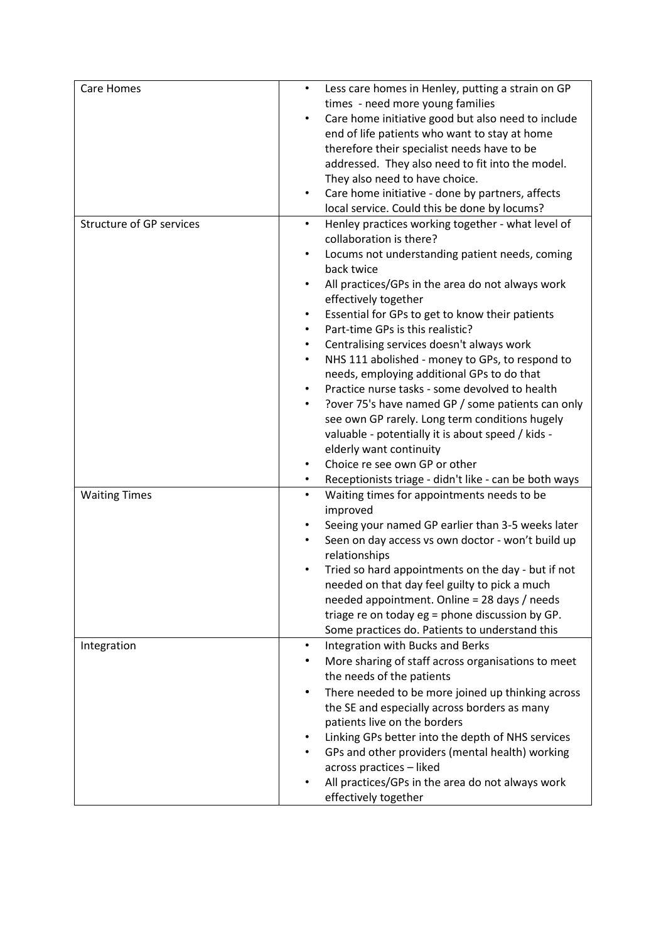| <b>Care Homes</b>               | $\bullet$ | Less care homes in Henley, putting a strain on GP     |
|---------------------------------|-----------|-------------------------------------------------------|
|                                 |           | times - need more young families                      |
|                                 |           | Care home initiative good but also need to include    |
|                                 |           | end of life patients who want to stay at home         |
|                                 |           | therefore their specialist needs have to be           |
|                                 |           | addressed. They also need to fit into the model.      |
|                                 |           | They also need to have choice.                        |
|                                 | $\bullet$ | Care home initiative - done by partners, affects      |
|                                 |           | local service. Could this be done by locums?          |
| <b>Structure of GP services</b> |           | Henley practices working together - what level of     |
|                                 |           | collaboration is there?                               |
|                                 |           | Locums not understanding patient needs, coming        |
|                                 |           | back twice                                            |
|                                 | $\bullet$ | All practices/GPs in the area do not always work      |
|                                 |           | effectively together                                  |
|                                 | $\bullet$ | Essential for GPs to get to know their patients       |
|                                 |           | Part-time GPs is this realistic?                      |
|                                 | $\bullet$ | Centralising services doesn't always work             |
|                                 | $\bullet$ | NHS 111 abolished - money to GPs, to respond to       |
|                                 |           | needs, employing additional GPs to do that            |
|                                 | $\bullet$ | Practice nurse tasks - some devolved to health        |
|                                 |           | Pover 75's have named GP / some patients can only     |
|                                 |           | see own GP rarely. Long term conditions hugely        |
|                                 |           | valuable - potentially it is about speed / kids -     |
|                                 |           | elderly want continuity                               |
|                                 |           | Choice re see own GP or other                         |
|                                 |           | Receptionists triage - didn't like - can be both ways |
| <b>Waiting Times</b>            | $\bullet$ | Waiting times for appointments needs to be            |
|                                 |           | improved                                              |
|                                 |           | Seeing your named GP earlier than 3-5 weeks later     |
|                                 |           | Seen on day access vs own doctor - won't build up     |
|                                 |           | relationships                                         |
|                                 |           | Tried so hard appointments on the day - but if not    |
|                                 |           | needed on that day feel guilty to pick a much         |
|                                 |           | needed appointment. Online = 28 days / needs          |
|                                 |           | triage re on today eg = phone discussion by GP.       |
|                                 |           | Some practices do. Patients to understand this        |
| Integration                     | $\bullet$ | Integration with Bucks and Berks                      |
|                                 |           | More sharing of staff across organisations to meet    |
|                                 |           | the needs of the patients                             |
|                                 |           | There needed to be more joined up thinking across     |
|                                 |           | the SE and especially across borders as many          |
|                                 |           | patients live on the borders                          |
|                                 |           | Linking GPs better into the depth of NHS services     |
|                                 |           | GPs and other providers (mental health) working       |
|                                 |           | across practices - liked                              |
|                                 |           | All practices/GPs in the area do not always work      |
|                                 |           | effectively together                                  |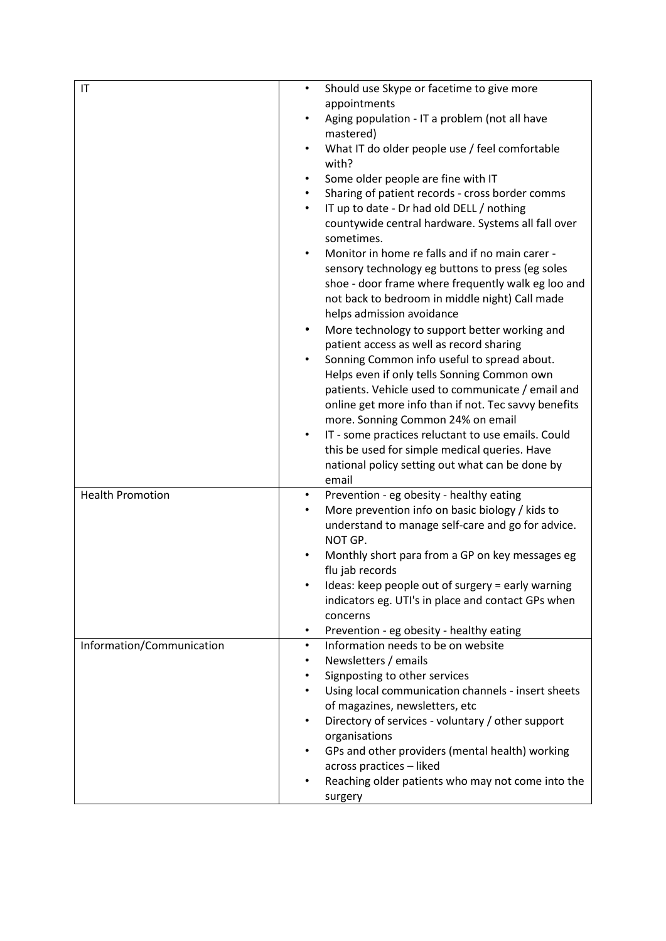| $\mathsf{I}\mathsf{T}$    | $\bullet$ | Should use Skype or facetime to give more                                               |
|---------------------------|-----------|-----------------------------------------------------------------------------------------|
|                           |           | appointments                                                                            |
|                           |           | Aging population - IT a problem (not all have<br>mastered)                              |
|                           |           | What IT do older people use / feel comfortable                                          |
|                           | with?     |                                                                                         |
|                           |           | Some older people are fine with IT                                                      |
|                           |           | Sharing of patient records - cross border comms                                         |
|                           |           | IT up to date - Dr had old DELL / nothing                                               |
|                           |           | countywide central hardware. Systems all fall over<br>sometimes.                        |
|                           |           | Monitor in home re falls and if no main carer -                                         |
|                           |           | sensory technology eg buttons to press (eg soles                                        |
|                           |           | shoe - door frame where frequently walk eg loo and                                      |
|                           |           | not back to bedroom in middle night) Call made                                          |
|                           |           | helps admission avoidance                                                               |
|                           |           | More technology to support better working and                                           |
|                           |           | patient access as well as record sharing<br>Sonning Common info useful to spread about. |
|                           |           | Helps even if only tells Sonning Common own                                             |
|                           |           | patients. Vehicle used to communicate / email and                                       |
|                           |           | online get more info than if not. Tec savvy benefits                                    |
|                           |           | more. Sonning Common 24% on email                                                       |
|                           | $\bullet$ | IT - some practices reluctant to use emails. Could                                      |
|                           |           | this be used for simple medical queries. Have                                           |
|                           |           | national policy setting out what can be done by                                         |
|                           | email     |                                                                                         |
| <b>Health Promotion</b>   |           | Prevention - eg obesity - healthy eating                                                |
|                           |           | More prevention info on basic biology / kids to                                         |
|                           | NOT GP.   | understand to manage self-care and go for advice.                                       |
|                           |           | Monthly short para from a GP on key messages eg                                         |
|                           |           | flu jab records                                                                         |
|                           |           | Ideas: keep people out of surgery = early warning                                       |
|                           |           | indicators eg. UTI's in place and contact GPs when                                      |
|                           | concerns  |                                                                                         |
|                           | ٠         | Prevention - eg obesity - healthy eating                                                |
| Information/Communication | $\bullet$ | Information needs to be on website                                                      |
|                           |           | Newsletters / emails                                                                    |
|                           |           | Signposting to other services                                                           |
|                           |           | Using local communication channels - insert sheets<br>of magazines, newsletters, etc    |
|                           |           | Directory of services - voluntary / other support                                       |
|                           |           | organisations                                                                           |
|                           |           | GPs and other providers (mental health) working                                         |
|                           |           | across practices - liked                                                                |
|                           |           | Reaching older patients who may not come into the                                       |
|                           | surgery   |                                                                                         |